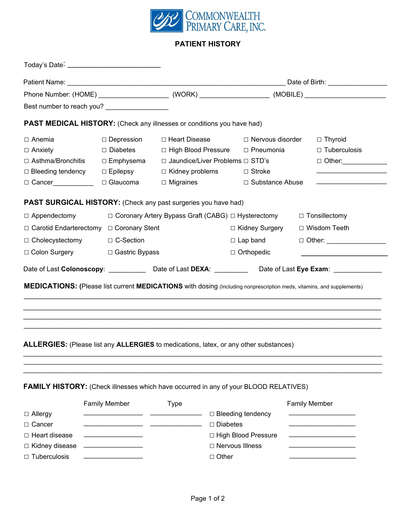

## **PATIENT HISTORY**

|                                                                                                                       |                                                                              | Date of Birth: Date of Birth:     |                          |  |                                                              |  |
|-----------------------------------------------------------------------------------------------------------------------|------------------------------------------------------------------------------|-----------------------------------|--------------------------|--|--------------------------------------------------------------|--|
|                                                                                                                       |                                                                              |                                   |                          |  |                                                              |  |
| Best number to reach you?                                                                                             |                                                                              |                                   |                          |  |                                                              |  |
| PAST MEDICAL HISTORY: (Check any illnesses or conditions you have had)                                                |                                                                              |                                   |                          |  |                                                              |  |
| $\Box$ Anemia                                                                                                         | $\Box$ Depression                                                            | □ Heart Disease                   | $\Box$ Nervous disorder  |  | $\Box$ Thyroid                                               |  |
| $\Box$ Anxiety                                                                                                        | □ Diabetes                                                                   | □ High Blood Pressure             | □ Pneumonia              |  | $\Box$ Tuberculosis                                          |  |
| □ Asthma/Bronchitis                                                                                                   | □ Emphysema                                                                  | □ Jaundice/Liver Problems □ STD's |                          |  | $\Box$ Other:                                                |  |
| $\Box$ Bleeding tendency                                                                                              | $\Box$ Epilepsy                                                              | $\Box$ Kidney problems            | $\Box$ Stroke            |  | <u> 1950 - Johann John Stone, market francuski filozof (</u> |  |
| $\Box$ Cancer                                                                                                         | $\Box$ Glaucoma                                                              | $\Box$ Migraines                  | □ Substance Abuse        |  |                                                              |  |
| <b>PAST SURGICAL HISTORY:</b> (Check any past surgeries you have had)                                                 |                                                                              |                                   |                          |  |                                                              |  |
| $\Box$ Appendectomy                                                                                                   | □ Coronary Artery Bypass Graft (CABG) □ Hysterectomy<br>$\Box$ Tonsillectomy |                                   |                          |  |                                                              |  |
| □ Carotid Endarterectomy □ Coronary Stent                                                                             |                                                                              |                                   | □ Kidney Surgery         |  | □ Wisdom Teeth                                               |  |
| $\Box$ Cholecystectomy                                                                                                | □ C-Section                                                                  |                                   | $\Box$ Lap band          |  | □ Other: __________________                                  |  |
| □ Colon Surgery                                                                                                       | □ Gastric Bypass                                                             |                                   | $\Box$ Orthopedic        |  |                                                              |  |
| Date of Last Colonoscopy: ___________________Date of Last DEXA: ________________Date of Last Eye Exam: _____________  |                                                                              |                                   |                          |  |                                                              |  |
| MEDICATIONS: (Please list current MEDICATIONS with dosing (Including nonprescription meds, vitamins, and supplements) |                                                                              |                                   |                          |  |                                                              |  |
|                                                                                                                       |                                                                              |                                   |                          |  |                                                              |  |
|                                                                                                                       |                                                                              |                                   |                          |  |                                                              |  |
|                                                                                                                       |                                                                              |                                   |                          |  |                                                              |  |
|                                                                                                                       |                                                                              |                                   |                          |  |                                                              |  |
| ALLERGIES: (Please list any ALLERGIES to medications, latex, or any other substances)                                 |                                                                              |                                   |                          |  |                                                              |  |
|                                                                                                                       |                                                                              |                                   |                          |  |                                                              |  |
|                                                                                                                       |                                                                              |                                   |                          |  |                                                              |  |
| <b>FAMILY HISTORY:</b> (Check illnesses which have occurred in any of your BLOOD RELATIVES)                           |                                                                              |                                   |                          |  |                                                              |  |
|                                                                                                                       | <b>Family Member</b>                                                         | <b>Type</b>                       |                          |  | <b>Family Member</b>                                         |  |
| $\Box$ Allergy                                                                                                        |                                                                              |                                   | $\Box$ Bleeding tendency |  |                                                              |  |
| $\Box$ Cancer                                                                                                         |                                                                              |                                   | $\square$ Diabetes       |  |                                                              |  |
| $\Box$ Heart disease                                                                                                  |                                                                              |                                   | □ High Blood Pressure    |  |                                                              |  |
| □ Kidney disease                                                                                                      |                                                                              |                                   | □ Nervous Illness        |  |                                                              |  |

□ Tuberculosis \_\_\_\_\_\_\_\_\_\_\_\_\_\_\_\_ □ Other \_\_\_\_\_\_\_\_\_\_\_\_\_\_\_\_\_\_